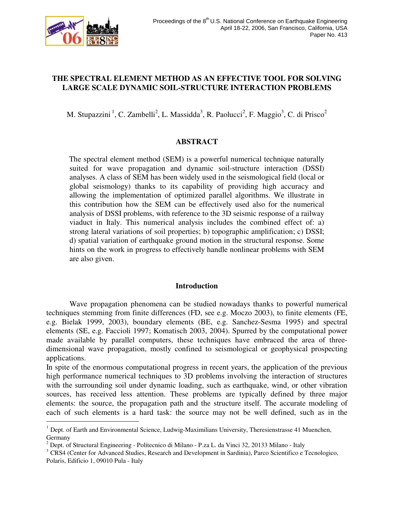

÷,

# **THE SPECTRAL ELEMENT METHOD AS AN EFFECTIVE TOOL FOR SOLVING LARGE SCALE DYNAMIC SOIL-STRUCTURE INTERACTION PROBLEMS**

M. Stupazzini<sup>1</sup>, C. Zambelli<sup>2</sup>, L. Massidda<sup>3</sup>, R. Paolucci<sup>2</sup>, F. Maggio<sup>3</sup>, C. di Prisco<sup>2</sup>

# **ABSTRACT**

The spectral element method (SEM) is a powerful numerical technique naturally suited for wave propagation and dynamic soil-structure interaction (DSSI) analyses. A class of SEM has been widely used in the seismological field (local or global seismology) thanks to its capability of providing high accuracy and allowing the implementation of optimized parallel algorithms. We illustrate in this contribution how the SEM can be effectively used also for the numerical analysis of DSSI problems, with reference to the 3D seismic response of a railway viaduct in Italy. This numerical analysis includes the combined effect of: a) strong lateral variations of soil properties; b) topographic amplification; c) DSSI; d) spatial variation of earthquake ground motion in the structural response. Some hints on the work in progress to effectively handle nonlinear problems with SEM are also given.

# **Introduction**

 Wave propagation phenomena can be studied nowadays thanks to powerful numerical techniques stemming from finite differences (FD, see e.g. Moczo 2003), to finite elements (FE, e.g. Bielak 1999, 2003), boundary elements (BE, e.g. Sanchez-Sesma 1995) and spectral elements (SE, e.g. Faccioli 1997; Komatisch 2003, 2004). Spurred by the computational power made available by parallel computers, these techniques have embraced the area of threedimensional wave propagation, mostly confined to seismological or geophysical prospecting applications.

In spite of the enormous computational progress in recent years, the application of the previous high performance numerical techniques to 3D problems involving the interaction of structures with the surrounding soil under dynamic loading, such as earthquake, wind, or other vibration sources, has received less attention. These problems are typically defined by three major elements: the source, the propagation path and the structure itself. The accurate modeling of each of such elements is a hard task: the source may not be well defined, such as in the

 $1$  Dept. of Earth and Environmental Science, Ludwig-Maximilians University, Theresienstrasse 41 Muenchen, Germany

<sup>&</sup>lt;sup>2</sup> Dept. of Structural Engineering - Politecnico di Milano - P.za L. da Vinci 32, 20133 Milano - Italy

<sup>&</sup>lt;sup>3</sup> CRS4 (Center for Advanced Studies, Research and Development in Sardinia), Parco Scientifico e Tecnologico, Polaris, Edificio 1, 09010 Pula - Italy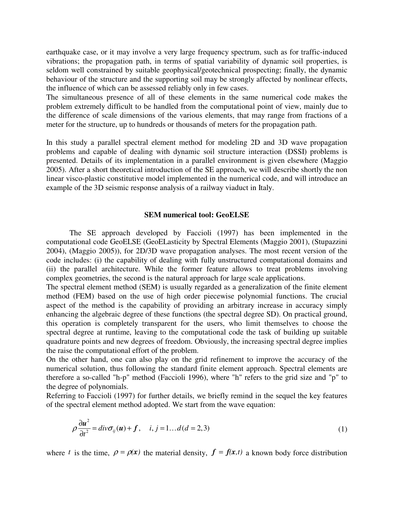earthquake case, or it may involve a very large frequency spectrum, such as for traffic-induced vibrations; the propagation path, in terms of spatial variability of dynamic soil properties, is seldom well constrained by suitable geophysical/geotechnical prospecting; finally, the dynamic behaviour of the structure and the supporting soil may be strongly affected by nonlinear effects, the influence of which can be assessed reliably only in few cases.

The simultaneous presence of all of these elements in the same numerical code makes the problem extremely difficult to be handled from the computational point of view, mainly due to the difference of scale dimensions of the various elements, that may range from fractions of a meter for the structure, up to hundreds or thousands of meters for the propagation path.

In this study a parallel spectral element method for modeling 2D and 3D wave propagation problems and capable of dealing with dynamic soil structure interaction (DSSI) problems is presented. Details of its implementation in a parallel environment is given elsewhere (Maggio 2005). After a short theoretical introduction of the SE approach, we will describe shortly the non linear visco-plastic constitutive model implemented in the numerical code, and will introduce an example of the 3D seismic response analysis of a railway viaduct in Italy.

### **SEM numerical tool: GeoELSE**

 The SE approach developed by Faccioli (1997) has been implemented in the computational code GeoELSE (GeoELasticity by Spectral Elements (Maggio 2001), (Stupazzini 2004), (Maggio 2005)), for 2D/3D wave propagation analyses. The most recent version of the code includes: (i) the capability of dealing with fully unstructured computational domains and (ii) the parallel architecture. While the former feature allows to treat problems involving complex geometries, the second is the natural approach for large scale applications.

The spectral element method (SEM) is usually regarded as a generalization of the finite element method (FEM) based on the use of high order piecewise polynomial functions. The crucial aspect of the method is the capability of providing an arbitrary increase in accuracy simply enhancing the algebraic degree of these functions (the spectral degree SD). On practical ground, this operation is completely transparent for the users, who limit themselves to choose the spectral degree at runtime, leaving to the computational code the task of building up suitable quadrature points and new degrees of freedom. Obviously, the increasing spectral degree implies the raise the computational effort of the problem.

On the other hand, one can also play on the grid refinement to improve the accuracy of the numerical solution, thus following the standard finite element approach. Spectral elements are therefore a so-called "h-p" method (Faccioli 1996), where "h" refers to the grid size and "p" to the degree of polynomials.

Referring to Faccioli (1997) for further details, we briefly remind in the sequel the key features of the spectral element method adopted. We start from the wave equation:

$$
\rho \frac{\partial u^2}{\partial t^2} = \text{div} \sigma_{ij}(u) + f, \quad i, j = 1...d(d = 2, 3)
$$
\n(1)

where *t* is the time,  $\rho = \rho(x)$  the material density,  $f = f(x,t)$  a known body force distribution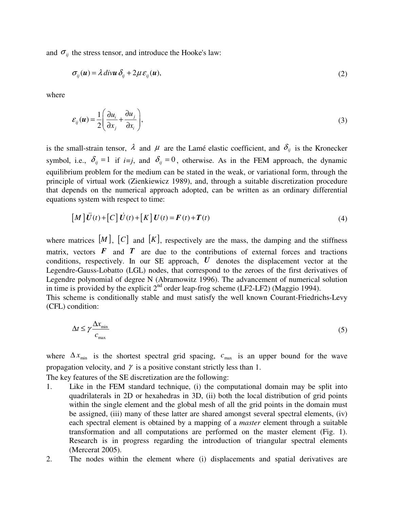and  $\sigma_{ij}$  the stress tensor, and introduce the Hooke's law:

$$
\sigma_{ij}(\mathbf{u}) = \lambda \operatorname{div} \mathbf{u} \, \delta_{ij} + 2\mu \, \varepsilon_{ij}(\mathbf{u}),\tag{2}
$$

where

$$
\varepsilon_{ij}(\boldsymbol{u}) = \frac{1}{2} \left( \frac{\partial u_i}{\partial x_j} + \frac{\partial u_j}{\partial x_i} \right),\tag{3}
$$

is the small-strain tensor,  $\lambda$  and  $\mu$  are the Lamé elastic coefficient, and  $\delta_{ij}$  is the Kronecker symbol, i.e.,  $\delta_{ii} = 1$  if  $i=j$ , and  $\delta_{ii} = 0$ , otherwise. As in the FEM approach, the dynamic equilibrium problem for the medium can be stated in the weak, or variational form, through the principle of virtual work (Zienkiewicz 1989), and, through a suitable discretization procedure that depends on the numerical approach adopted, can be written as an ordinary differential equations system with respect to time: For the measure of virtual work (Zienkiewicz 1989), and, through a suitable discretization procedure wends on the numerical approach adopted, can be written as an ordinary differential is system with respect to time:<br>  $\begin$ 

$$
\left[M\right]\ddot{U}(t) + \left[C\right]\dot{U}(t) + \left[K\right]U(t) = F(t) + T(t)
$$
\n<sup>(4)</sup>

where matrices  $[M]$ ,  $[C]$  and  $[K]$ , respectively are the mass, the damping and the stiffness matrix, vectors  $\vec{F}$  and  $\vec{T}$  are due to the contributions of external forces and tractions conditions, respectively. In our SE approach, *U* denotes the displacement vector at the Legendre-Gauss-Lobatto (LGL) nodes, that correspond to the zeroes of the first derivatives of Legendre polynomial of degree N (Abramowitz 1996). The advancement of numerical solution in time is provided by the explicit  $2^{nd}$  order leap-frog scheme (LF2-LF2) (Maggio 1994).

This scheme is conditionally stable and must satisfy the well known Courant-Friedrichs-Levy (CFL) condition:

$$
\Delta t \le \gamma \frac{\Delta x_{\text{min}}}{c_{\text{max}}} \tag{5}
$$

where  $\Delta x_{\text{min}}$  is the shortest spectral grid spacing,  $c_{\text{max}}$  is an upper bound for the wave propagation velocity, and  $\gamma$  is a positive constant strictly less than 1.

The key features of the SE discretization are the following:

- 1. Like in the FEM standard technique, (i) the computational domain may be split into quadrilaterals in 2D or hexahedras in 3D, (ii) both the local distribution of grid points within the single element and the global mesh of all the grid points in the domain must be assigned, (iii) many of these latter are shared amongst several spectral elements, (iv) each spectral element is obtained by a mapping of a *master* element through a suitable transformation and all computations are performed on the master element (Fig. 1). Research is in progress regarding the introduction of triangular spectral elements (Mercerat 2005).
- 2. The nodes within the element where (i) displacements and spatial derivatives are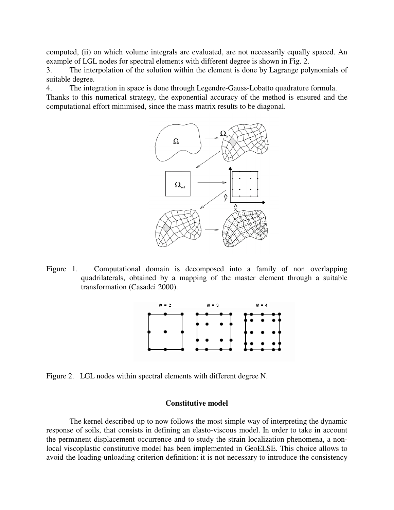computed, (ii) on which volume integrals are evaluated, are not necessarily equally spaced. An example of LGL nodes for spectral elements with different degree is shown in Fig. 2.

3. The interpolation of the solution within the element is done by Lagrange polynomials of suitable degree.

4. The integration in space is done through Legendre-Gauss-Lobatto quadrature formula. Thanks to this numerical strategy, the exponential accuracy of the method is ensured and the computational effort minimised, since the mass matrix results to be diagonal.



Figure 1. Computational domain is decomposed into a family of non overlapping quadrilaterals, obtained by a mapping of the master element through a suitable transformation (Casadei 2000).



Figure 2. LGL nodes within spectral elements with different degree N.

# **Constitutive model**

 The kernel described up to now follows the most simple way of interpreting the dynamic response of soils, that consists in defining an elasto-viscous model. In order to take in account the permanent displacement occurrence and to study the strain localization phenomena, a nonlocal viscoplastic constitutive model has been implemented in GeoELSE. This choice allows to avoid the loading-unloading criterion definition: it is not necessary to introduce the consistency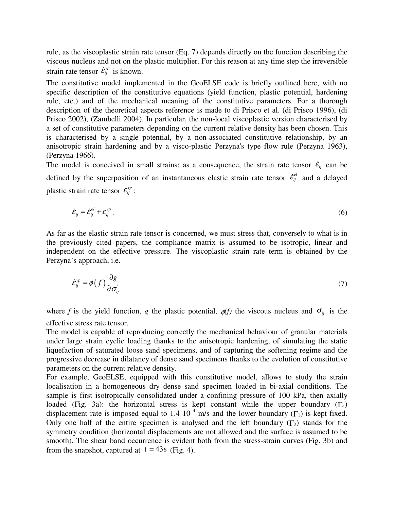rule, as the viscoplastic strain rate tensor (Eq. 7) depends directly on the function describing the viscous nucleus and not on the plastic multiplier. For this reason at any time step the irreversible rule, as the viscoplastic strain rational viscous nucleus and not on the postrain rate tensor  $\dot{\mathcal{E}}_{ij}^{vp}$  is known.

The constitutive model implemented in the GeoELSE code is briefly outlined here, with no specific description of the constitutive equations (yield function, plastic potential, hardening rule, etc.) and of the mechanical meaning of the constitutive parameters. For a thorough description of the theoretical aspects reference is made to di Prisco et al. (di Prisco 1996), (di Prisco 2002), (Zambelli 2004). In particular, the non-local viscoplastic version characterised by a set of constitutive parameters depending on the current relative density has been chosen. This is characterised by a single potential, by a non-associated constitutive relationship, by an anisotropic strain hardening and by a visco-plastic Perzyna's type flow rule (Perzyna 1963), (Perzyna 1966). is characterised by a single potential, by a non-associated constitutive relationship, by an anisotropic strain hardening and by a visco-plastic Perzyna's type flow rule (Perzyna 1963), (Perzyna 1966).<br>
The model is conce

The model is conceived in small strains; as a consequence, the strain rate tensor  $\dot{\epsilon}_{ij}$  can be plastic strain rate tensor  $\dot{\mathcal{E}}_{ij}^{vp}$ : *i*<br>*i* in<br>*i*<br> $\dot{\epsilon}_{ij}^{vp}$  : by the superposition of an instantaneous elastic strain rate tensor  $\dot{\epsilon}_{ij}^{el}$  and a delayed<br>train rate tensor  $\dot{\epsilon}_{ij}^{vp}$ :<br> $\dot{\epsilon}_{ij} = \dot{\epsilon}_{ij}^{el} + \dot{\epsilon}_{ij}^{vp}$ . (6)

$$
\dot{\mathcal{E}}_{ij} = \dot{\mathcal{E}}_{ij}^{el} + \dot{\mathcal{E}}_{ij}^{\nu p} \,. \tag{6}
$$

As far as the elastic strain rate tensor is concerned, we must stress that, conversely to what is in the previously cited papers, the compliance matrix is assumed to be isotropic, linear and independent on the effective pressure. The viscoplastic strain rate term is obtained by the Perzyna's approach, i.e. iously cited papers, the compliance matrix is assumed to be isotropic, linear and lent on the effective pressure. The viscoplastic strain rate term is obtained by the s approach, i.e.<br>s approach, i.e.  $\dot{\mathcal{E}}_{ij}^{vp} = \phi(f)$ 

$$
\dot{\mathcal{E}}_{ij}^{\nu p} = \phi(f) \frac{\partial g}{\partial \sigma_{ij}} \tag{7}
$$

where *f* is the yield function, *g* the plastic potential,  $\phi(f)$  the viscous nucleus and  $\sigma_{ij}$  is the effective stress rate tensor.

The model is capable of reproducing correctly the mechanical behaviour of granular materials under large strain cyclic loading thanks to the anisotropic hardening, of simulating the static liquefaction of saturated loose sand specimens, and of capturing the softening regime and the progressive decrease in dilatancy of dense sand specimens thanks to the evolution of constitutive parameters on the current relative density.

For example, GeoELSE, equipped with this constitutive model, allows to study the strain localisation in a homogeneous dry dense sand specimen loaded in bi-axial conditions. The sample is first isotropically consolidated under a confining pressure of 100 kPa, then axially loaded (Fig. 3a): the horizontal stress is kept constant while the upper boundary ( $\Gamma_4$ ) displacement rate is imposed equal to 1.4  $10^{-4}$  m/s and the lower boundary (Γ<sub>1</sub>) is kept fixed. Only one half of the entire specimen is analysed and the left boundary  $(\Gamma_2)$  stands for the symmetry condition (horizontal displacements are not allowed and the surface is assumed to be smooth). The shear band occurrence is evident both from the stress-strain curves (Fig. 3b) and from the snapshot, captured at  $\bar{t} = 43$ s (Fig. 4).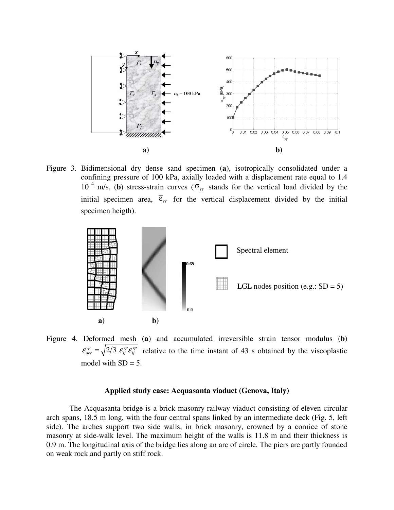

Figure 3. Bidimensional dry dense sand specimen (**a**), isotropically consolidated under a confining pressure of 100 kPa, axially loaded with a displacement rate equal to 1.4  $10^{-4}$  m/s, (b) stress-strain curves ( $\sigma_{yy}$  stands for the vertical load divided by the initial specimen area,  $\overline{\epsilon}_{yy}$  for the vertical displacement divided by the initial specimen heigth).



Figure 4. Deformed mesh (**a**) and accumulated irreversible strain tensor modulus (**b**)  $\mathcal{E}_{acc}^{vp} = \sqrt{2/3} \mathcal{E}_{ij}^{vp} \mathcal{E}_{ij}^{vp}$  relative to the time instant of 43 s obtained by the viscoplastic model with  $SD = 5$ .

## **Applied study case: Acquasanta viaduct (Genova, Italy)**

 The Acquasanta bridge is a brick masonry railway viaduct consisting of eleven circular arch spans, 18.5 m long, with the four central spans linked by an intermediate deck (Fig. 5, left side). The arches support two side walls, in brick masonry, crowned by a cornice of stone masonry at side-walk level. The maximum height of the walls is 11.8 m and their thickness is 0.9 m. The longitudinal axis of the bridge lies along an arc of circle. The piers are partly founded on weak rock and partly on stiff rock.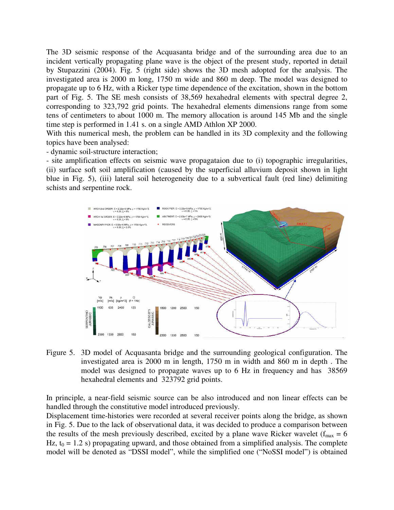The 3D seismic response of the Acquasanta bridge and of the surrounding area due to an incident vertically propagating plane wave is the object of the present study, reported in detail by Stupazzini (2004). Fig. 5 (right side) shows the 3D mesh adopted for the analysis. The investigated area is 2000 m long, 1750 m wide and 860 m deep. The model was designed to propagate up to 6 Hz, with a Ricker type time dependence of the excitation, shown in the bottom part of Fig. 5. The SE mesh consists of 38,569 hexahedral elements with spectral degree 2, corresponding to 323,792 grid points. The hexahedral elements dimensions range from some tens of centimeters to about 1000 m. The memory allocation is around 145 Mb and the single time step is performed in 1.41 s. on a single AMD Athlon XP 2000.

With this numerical mesh, the problem can be handled in its 3D complexity and the following topics have been analysed:

- dynamic soil-structure interaction;

- site amplification effects on seismic wave propagataion due to (i) topographic irregularities, (ii) surface soft soil amplification (caused by the superficial alluvium deposit shown in light blue in Fig. 5), (iii) lateral soil heterogeneity due to a subvertical fault (red line) delimiting schists and serpentine rock.



Figure 5. 3D model of Acquasanta bridge and the surrounding geological configuration. The investigated area is 2000 m in length, 1750 m in width and 860 m in depth . The model was designed to propagate waves up to 6 Hz in frequency and has 38569 hexahedral elements and 323792 grid points.

In principle, a near-field seismic source can be also introduced and non linear effects can be handled through the constitutive model introduced previously.

Displacement time-histories were recorded at several receiver points along the bridge, as shown in Fig. 5. Due to the lack of observational data, it was decided to produce a comparison between the results of the mesh previously described, excited by a plane wave Ricker wavelet ( $f_{max} = 6$ ) Hz,  $t_0 = 1.2$  s) propagating upward, and those obtained from a simplified analysis. The complete model will be denoted as "DSSI model", while the simplified one ("NoSSI model") is obtained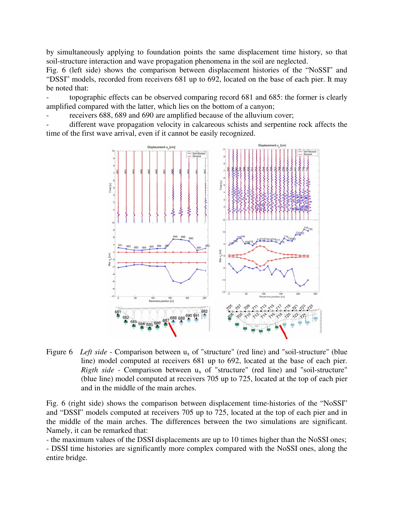by simultaneously applying to foundation points the same displacement time history, so that soil-structure interaction and wave propagation phenomena in the soil are neglected.

Fig. 6 (left side) shows the comparison between displacement histories of the "NoSSI" and "DSSI" models, recorded from receivers 681 up to 692, located on the base of each pier. It may be noted that:

- topographic effects can be observed comparing record 681 and 685: the former is clearly amplified compared with the latter, which lies on the bottom of a canyon;

receivers 688, 689 and 690 are amplified because of the alluvium cover;

different wave propagation velocity in calcareous schists and serpentine rock affects the time of the first wave arrival, even if it cannot be easily recognized.



Figure 6 *Left side* - Comparison between u<sub>x</sub> of "structure" (red line) and "soil-structure" (blue line) model computed at receivers 681 up to 692, located at the base of each pier. *Rigth side* - Comparison between  $u_x$  of "structure" (red line) and "soil-structure" (blue line) model computed at receivers 705 up to 725, located at the top of each pier and in the middle of the main arches.

Fig. 6 (right side) shows the comparison between displacement time-histories of the "NoSSI" and "DSSI" models computed at receivers 705 up to 725, located at the top of each pier and in the middle of the main arches. The differences between the two simulations are significant. Namely, it can be remarked that:

- the maximum values of the DSSI displacements are up to 10 times higher than the NoSSI ones; - DSSI time histories are significantly more complex compared with the NoSSI ones, along the entire bridge.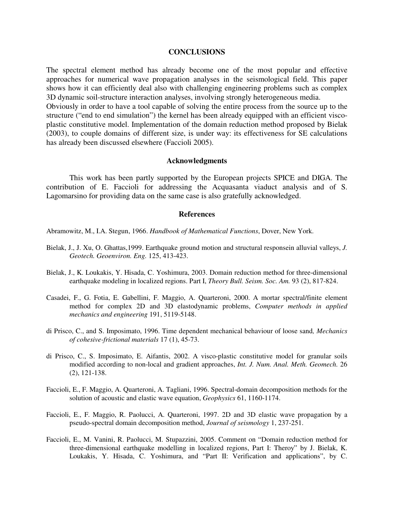#### **CONCLUSIONS**

The spectral element method has already become one of the most popular and effective approaches for numerical wave propagation analyses in the seismological field. This paper shows how it can efficiently deal also with challenging engineering problems such as complex 3D dynamic soil-structure interaction analyses, involving strongly heterogeneous media. Obviously in order to have a tool capable of solving the entire process from the source up to the structure ("end to end simulation") the kernel has been already equipped with an efficient visco-

plastic constitutive model. Implementation of the domain reduction method proposed by Bielak (2003), to couple domains of different size, is under way: its effectiveness for SE calculations has already been discussed elsewhere (Faccioli 2005).

### **Acknowledgments**

 This work has been partly supported by the European projects SPICE and DIGA. The contribution of E. Faccioli for addressing the Acquasanta viaduct analysis and of S. Lagomarsino for providing data on the same case is also gratefully acknowledged.

#### **References**

Abramowitz, M., I.A. Stegun, 1966. *Handbook of Mathematical Functions*, Dover, New York.

- Bielak, J., J. Xu, O. Ghattas,1999. Earthquake ground motion and structural responsein alluvial valleys, *J. Geotech. Geoenviron. Eng.* 125, 413-423.
- Bielak, J., K. Loukakis, Y. Hisada, C. Yoshimura, 2003. Domain reduction method for three-dimensional earthquake modeling in localized regions. Part I, *Theory Bull. Seism. Soc. Am.* 93 (2), 817-824.
- Casadei, F., G. Fotia, E. Gabellini, F. Maggio, A. Quarteroni, 2000. A mortar spectral/finite element method for complex 2D and 3D elastodynamic problems, *Computer methods in applied mechanics and engineering* 191, 5119-5148.
- di Prisco, C., and S. Imposimato, 1996. Time dependent mechanical behaviour of loose sand*, Mechanics of cohesive-frictional materials* 17 (1), 45-73.
- di Prisco, C., S. Imposimato, E. Aifantis, 2002. A visco-plastic constitutive model for granular soils modified according to non-local and gradient approaches, *Int. J. Num. Anal. Meth. Geomech.* 26 (2), 121-138.
- Faccioli, E., F. Maggio, A. Quarteroni, A. Tagliani, 1996. Spectral-domain decomposition methods for the solution of acoustic and elastic wave equation, *Geophysics* 61, 1160-1174.
- Faccioli, E., F. Maggio, R. Paolucci, A. Quarteroni, 1997. 2D and 3D elastic wave propagation by a pseudo-spectral domain decomposition method, *Journal of seismology* 1, 237-251.
- Faccioli, E., M. Vanini, R. Paolucci, M. Stupazzini, 2005. Comment on "Domain reduction method for three-dimensional earthquake modelling in localized regions, Part I: Theroy" by J. Bielak, K. Loukakis, Y. Hisada, C. Yoshimura, and "Part II: Verification and applications", by C.